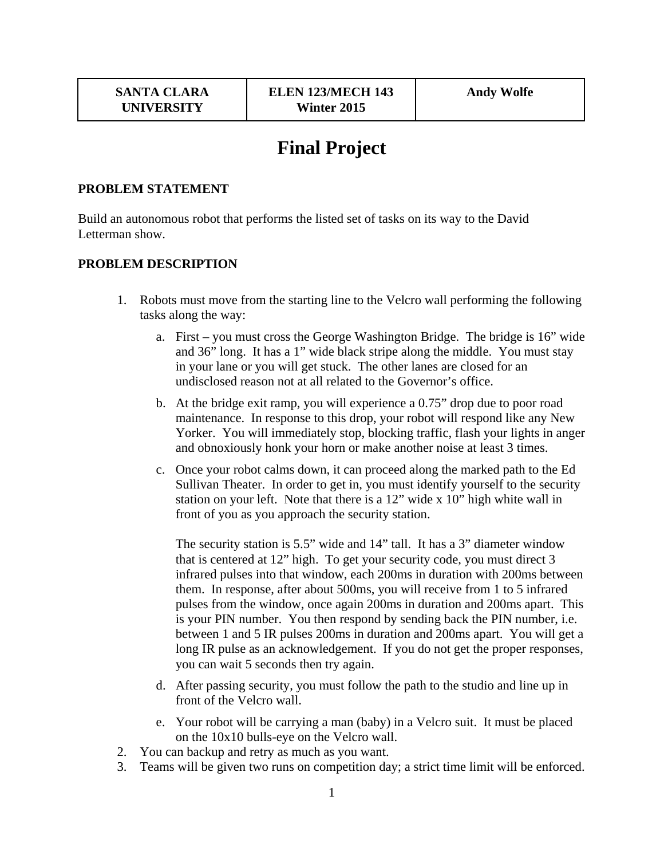# **Final Project**

#### **PROBLEM STATEMENT**

Build an autonomous robot that performs the listed set of tasks on its way to the David Letterman show.

#### **PROBLEM DESCRIPTION**

- 1. Robots must move from the starting line to the Velcro wall performing the following tasks along the way:
	- a. First you must cross the George Washington Bridge. The bridge is 16" wide and 36" long. It has a 1" wide black stripe along the middle. You must stay in your lane or you will get stuck. The other lanes are closed for an undisclosed reason not at all related to the Governor's office.
	- b. At the bridge exit ramp, you will experience a 0.75" drop due to poor road maintenance. In response to this drop, your robot will respond like any New Yorker. You will immediately stop, blocking traffic, flash your lights in anger and obnoxiously honk your horn or make another noise at least 3 times.
	- c. Once your robot calms down, it can proceed along the marked path to the Ed Sullivan Theater. In order to get in, you must identify yourself to the security station on your left. Note that there is a 12" wide x 10" high white wall in front of you as you approach the security station.

The security station is 5.5" wide and 14" tall. It has a 3" diameter window that is centered at 12" high. To get your security code, you must direct 3 infrared pulses into that window, each 200ms in duration with 200ms between them. In response, after about 500ms, you will receive from 1 to 5 infrared pulses from the window, once again 200ms in duration and 200ms apart. This is your PIN number. You then respond by sending back the PIN number, i.e. between 1 and 5 IR pulses 200ms in duration and 200ms apart. You will get a long IR pulse as an acknowledgement. If you do not get the proper responses, you can wait 5 seconds then try again.

- d. After passing security, you must follow the path to the studio and line up in front of the Velcro wall.
- e. Your robot will be carrying a man (baby) in a Velcro suit. It must be placed on the 10x10 bulls-eye on the Velcro wall.
- 2. You can backup and retry as much as you want.
- 3. Teams will be given two runs on competition day; a strict time limit will be enforced.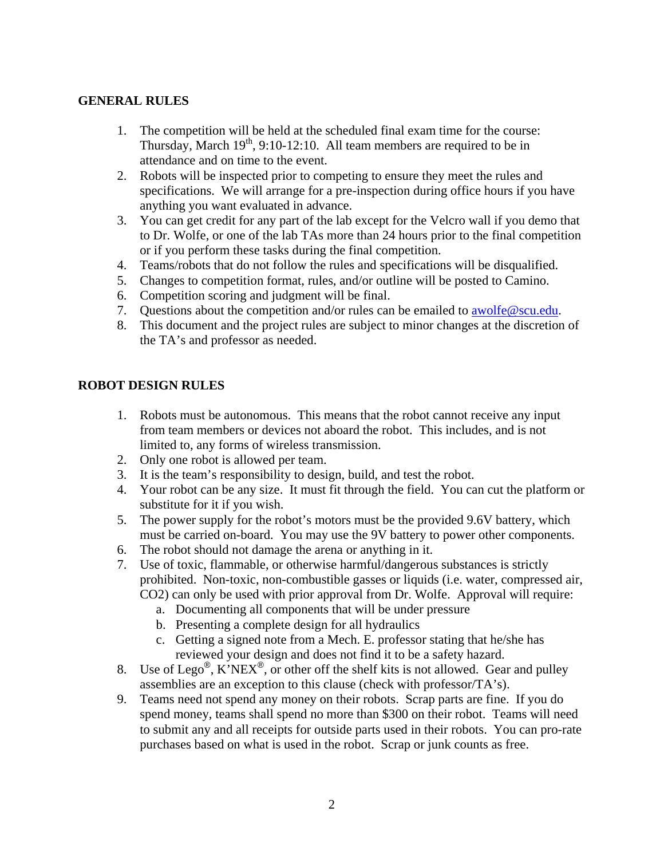## **GENERAL RULES**

- 1. The competition will be held at the scheduled final exam time for the course: Thursday, March  $19<sup>th</sup>$ , 9:10-12:10. All team members are required to be in attendance and on time to the event.
- 2. Robots will be inspected prior to competing to ensure they meet the rules and specifications. We will arrange for a pre-inspection during office hours if you have anything you want evaluated in advance.
- 3. You can get credit for any part of the lab except for the Velcro wall if you demo that to Dr. Wolfe, or one of the lab TAs more than 24 hours prior to the final competition or if you perform these tasks during the final competition.
- 4. Teams/robots that do not follow the rules and specifications will be disqualified.
- 5. Changes to competition format, rules, and/or outline will be posted to Camino.
- 6. Competition scoring and judgment will be final.
- 7. Questions about the competition and/or rules can be emailed to awolfe@scu.edu.
- 8. This document and the project rules are subject to minor changes at the discretion of the TA's and professor as needed.

## **ROBOT DESIGN RULES**

- 1. Robots must be autonomous. This means that the robot cannot receive any input from team members or devices not aboard the robot. This includes, and is not limited to, any forms of wireless transmission.
- 2. Only one robot is allowed per team.
- 3. It is the team's responsibility to design, build, and test the robot.
- 4. Your robot can be any size. It must fit through the field. You can cut the platform or substitute for it if you wish.
- 5. The power supply for the robot's motors must be the provided 9.6V battery, which must be carried on-board. You may use the 9V battery to power other components.
- 6. The robot should not damage the arena or anything in it.
- 7. Use of toxic, flammable, or otherwise harmful/dangerous substances is strictly prohibited. Non-toxic, non-combustible gasses or liquids (i.e. water, compressed air, CO2) can only be used with prior approval from Dr. Wolfe. Approval will require:
	- a. Documenting all components that will be under pressure
	- b. Presenting a complete design for all hydraulics
	- c. Getting a signed note from a Mech. E. professor stating that he/she has reviewed your design and does not find it to be a safety hazard.
- 8. Use of Lego<sup>®</sup>, K'NEX<sup>®</sup>, or other off the shelf kits is not allowed. Gear and pulley assemblies are an exception to this clause (check with professor/TA's).
- 9. Teams need not spend any money on their robots. Scrap parts are fine. If you do spend money, teams shall spend no more than \$300 on their robot. Teams will need to submit any and all receipts for outside parts used in their robots. You can pro-rate purchases based on what is used in the robot. Scrap or junk counts as free.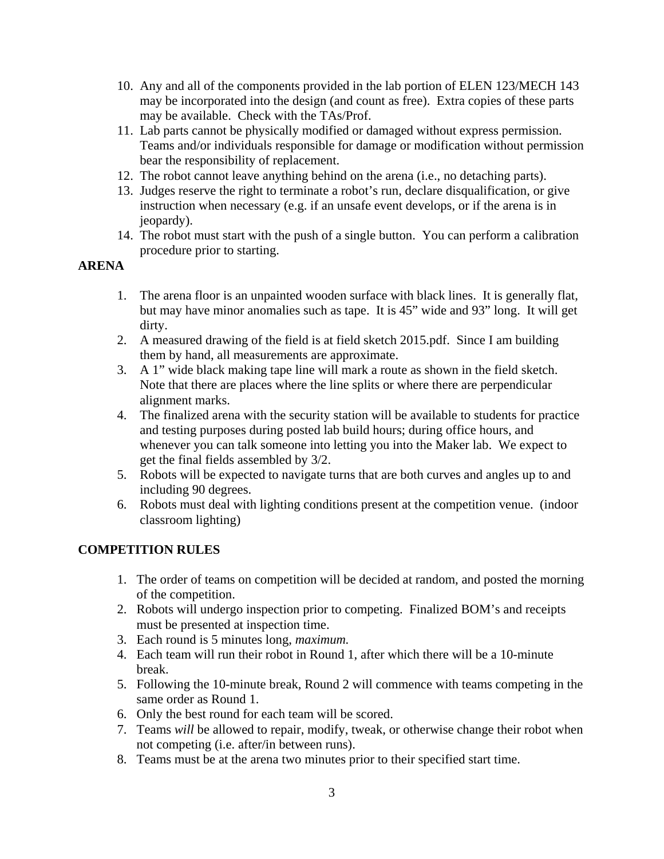- 10. Any and all of the components provided in the lab portion of ELEN 123/MECH 143 may be incorporated into the design (and count as free). Extra copies of these parts may be available. Check with the TAs/Prof.
- 11. Lab parts cannot be physically modified or damaged without express permission. Teams and/or individuals responsible for damage or modification without permission bear the responsibility of replacement.
- 12. The robot cannot leave anything behind on the arena (i.e., no detaching parts).
- 13. Judges reserve the right to terminate a robot's run, declare disqualification, or give instruction when necessary (e.g. if an unsafe event develops, or if the arena is in jeopardy).
- 14. The robot must start with the push of a single button. You can perform a calibration procedure prior to starting.

# **ARENA**

- 1. The arena floor is an unpainted wooden surface with black lines. It is generally flat, but may have minor anomalies such as tape. It is 45" wide and 93" long. It will get dirty.
- 2. A measured drawing of the field is at field sketch 2015.pdf. Since I am building them by hand, all measurements are approximate.
- 3. A 1" wide black making tape line will mark a route as shown in the field sketch. Note that there are places where the line splits or where there are perpendicular alignment marks.
- 4. The finalized arena with the security station will be available to students for practice and testing purposes during posted lab build hours; during office hours, and whenever you can talk someone into letting you into the Maker lab. We expect to get the final fields assembled by 3/2.
- 5. Robots will be expected to navigate turns that are both curves and angles up to and including 90 degrees.
- 6. Robots must deal with lighting conditions present at the competition venue. (indoor classroom lighting)

## **COMPETITION RULES**

- 1. The order of teams on competition will be decided at random, and posted the morning of the competition.
- 2. Robots will undergo inspection prior to competing. Finalized BOM's and receipts must be presented at inspection time.
- 3. Each round is 5 minutes long, *maximum.*
- 4. Each team will run their robot in Round 1, after which there will be a 10-minute break.
- 5. Following the 10-minute break, Round 2 will commence with teams competing in the same order as Round 1.
- 6. Only the best round for each team will be scored.
- 7. Teams *will* be allowed to repair, modify, tweak, or otherwise change their robot when not competing (i.e. after/in between runs).
- 8. Teams must be at the arena two minutes prior to their specified start time.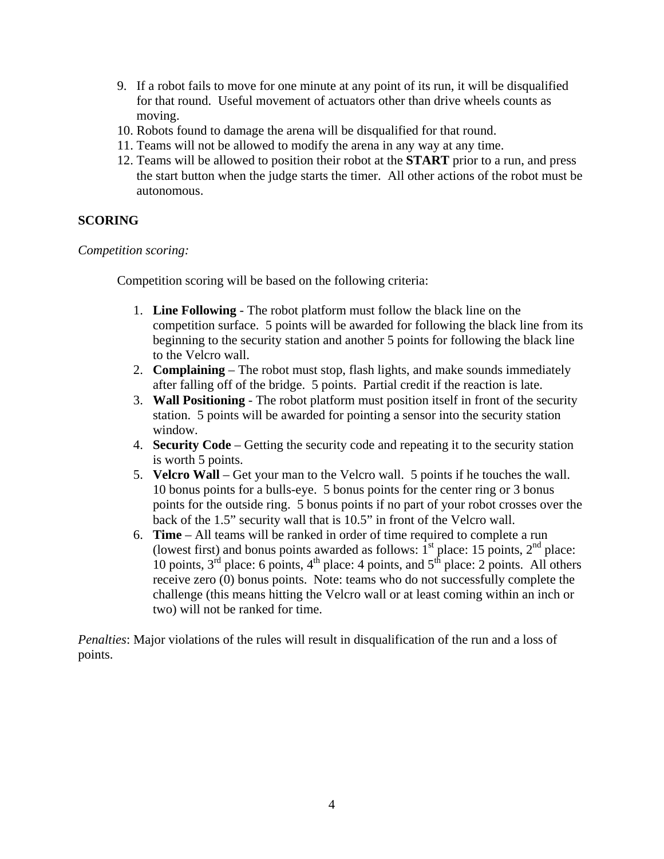- 9. If a robot fails to move for one minute at any point of its run, it will be disqualified for that round. Useful movement of actuators other than drive wheels counts as moving.
- 10. Robots found to damage the arena will be disqualified for that round.
- 11. Teams will not be allowed to modify the arena in any way at any time.
- 12. Teams will be allowed to position their robot at the **START** prior to a run, and press the start button when the judge starts the timer. All other actions of the robot must be autonomous.

## **SCORING**

## *Competition scoring:*

Competition scoring will be based on the following criteria:

- 1. **Line Following** The robot platform must follow the black line on the competition surface. 5 points will be awarded for following the black line from its beginning to the security station and another 5 points for following the black line to the Velcro wall.
- 2. **Complaining**  The robot must stop, flash lights, and make sounds immediately after falling off of the bridge. 5 points. Partial credit if the reaction is late.
- 3. **Wall Positioning**  The robot platform must position itself in front of the security station. 5 points will be awarded for pointing a sensor into the security station window.
- 4. **Security Code**  Getting the security code and repeating it to the security station is worth 5 points.
- 5. **Velcro Wall** Get your man to the Velcro wall. 5 points if he touches the wall. 10 bonus points for a bulls-eye. 5 bonus points for the center ring or 3 bonus points for the outside ring. 5 bonus points if no part of your robot crosses over the back of the 1.5" security wall that is 10.5" in front of the Velcro wall.
- 6. **Time**  All teams will be ranked in order of time required to complete a run (lowest first) and bonus points awarded as follows:  $1<sup>st</sup>$  place: 15 points,  $2<sup>nd</sup>$  place: 10 points,  $3^{rd}$  place: 6 points,  $4^{th}$  place: 4 points, and  $5^{th}$  place: 2 points. All others receive zero (0) bonus points. Note: teams who do not successfully complete the challenge (this means hitting the Velcro wall or at least coming within an inch or two) will not be ranked for time.

*Penalties*: Major violations of the rules will result in disqualification of the run and a loss of points.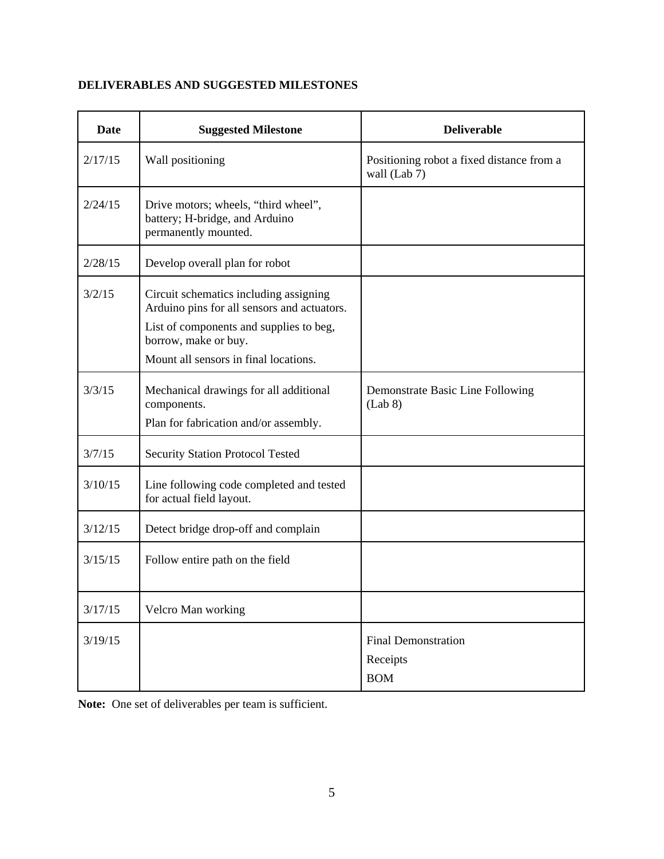# **DELIVERABLES AND SUGGESTED MILESTONES**

| <b>Date</b> | <b>Suggested Milestone</b>                                                                                                                                                                        | <b>Deliverable</b>                                        |
|-------------|---------------------------------------------------------------------------------------------------------------------------------------------------------------------------------------------------|-----------------------------------------------------------|
| 2/17/15     | Wall positioning                                                                                                                                                                                  | Positioning robot a fixed distance from a<br>wall (Lab 7) |
| 2/24/15     | Drive motors; wheels, "third wheel",<br>battery; H-bridge, and Arduino<br>permanently mounted.                                                                                                    |                                                           |
| 2/28/15     | Develop overall plan for robot                                                                                                                                                                    |                                                           |
| 3/2/15      | Circuit schematics including assigning<br>Arduino pins for all sensors and actuators.<br>List of components and supplies to beg,<br>borrow, make or buy.<br>Mount all sensors in final locations. |                                                           |
| 3/3/15      | Mechanical drawings for all additional<br>components.<br>Plan for fabrication and/or assembly.                                                                                                    | Demonstrate Basic Line Following<br>(Lab 8)               |
| 3/7/15      | Security Station Protocol Tested                                                                                                                                                                  |                                                           |
| 3/10/15     | Line following code completed and tested<br>for actual field layout.                                                                                                                              |                                                           |
| 3/12/15     | Detect bridge drop-off and complain                                                                                                                                                               |                                                           |
| 3/15/15     | Follow entire path on the field                                                                                                                                                                   |                                                           |
| 3/17/15     | Velcro Man working                                                                                                                                                                                |                                                           |
| 3/19/15     |                                                                                                                                                                                                   | <b>Final Demonstration</b><br>Receipts<br><b>BOM</b>      |

Note: One set of deliverables per team is sufficient.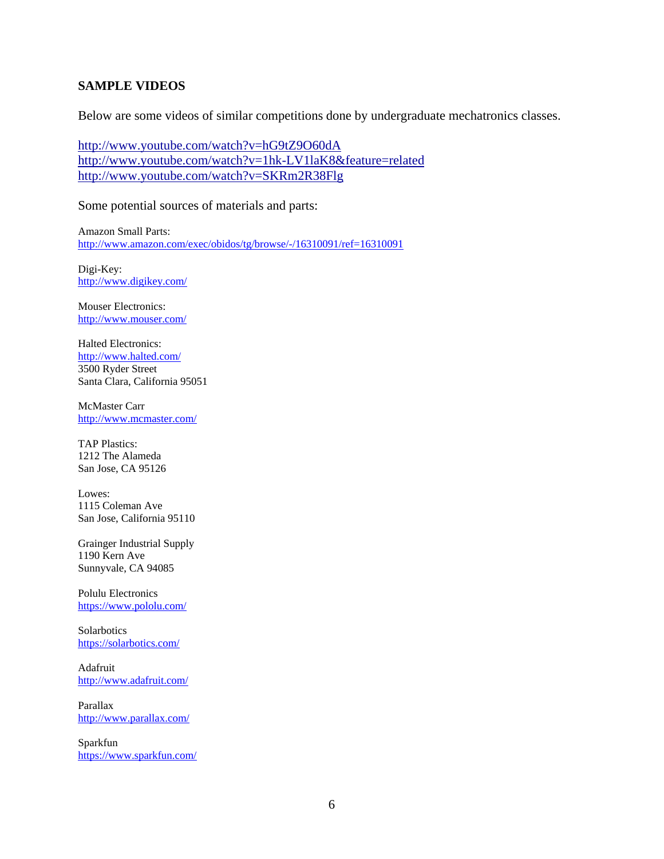#### **SAMPLE VIDEOS**

Below are some videos of similar competitions done by undergraduate mechatronics classes.

http://www.youtube.com/watch?v=hG9tZ9O60dA http://www.youtube.com/watch?v=1hk-LV1laK8&feature=related http://www.youtube.com/watch?v=SKRm2R38Flg

Some potential sources of materials and parts:

Amazon Small Parts: http://www.amazon.com/exec/obidos/tg/browse/-/16310091/ref=16310091

Digi-Key: http://www.digikey.com/

Mouser Electronics: http://www.mouser.com/

Halted Electronics: http://www.halted.com/ 3500 Ryder Street Santa Clara, California 95051

McMaster Carr http://www.mcmaster.com/

TAP Plastics: 1212 The Alameda San Jose, CA 95126

Lowes: 1115 Coleman Ave San Jose, California 95110

Grainger Industrial Supply 1190 Kern Ave Sunnyvale, CA 94085

Polulu Electronics https://www.pololu.com/

**Solarbotics** https://solarbotics.com/

Adafruit http://www.adafruit.com/

Parallax http://www.parallax.com/

Sparkfun https://www.sparkfun.com/